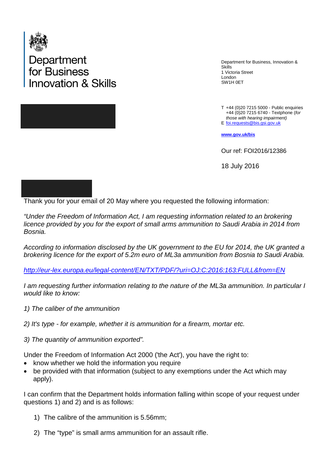

Department<br>for Business novation & Skills

Department for Business, Innovation & Skills 1 Victoria Street London SW1H 0ET

T +44 (0)20 7215 5000 - Public enquiries E [foi.requests@bis.gsi.gov.uk](mailto:foi.requests@bis.gsi.gov.uk) +44 (0)20 7215 6740 - Textphone (*for those with hearing impairment)* 

**[www.gov.uk/bis](http://www.gov.uk/bis)**

Our ref: FOI2016/12386

18 July 2016

Thank you for your email of 20 May where you requested the following information:

*"Under the Freedom of Information Act, I am requesting information related to an brokering licence provided by you for the export of small arms ammunition to Saudi Arabia in 2014 from Bosnia.*

*According to information disclosed by the UK government to the EU for 2014, the UK granted a brokering licence for the export of 5.2m euro of ML3a ammunition from Bosnia to Saudi Arabia.*

*<http://eur-lex.europa.eu/legal-content/EN/TXT/PDF/?uri=OJ:C:2016:163:FULL&from=EN>*

*I am requesting further information relating to the nature of the ML3a ammunition. In particular I would like to know:*

- *1) The caliber of the ammunition*
- *2) It's type - for example, whether it is ammunition for a firearm, mortar etc.*
- *3) The quantity of ammunition exported".*

Under the Freedom of Information Act 2000 ('the Act'), you have the right to:

- know whether we hold the information you require
- be provided with that information (subject to any exemptions under the Act which may apply).

I can confirm that the Department holds information falling within scope of your request under questions 1) and 2) and is as follows:

- 1) The calibre of the ammunition is 5.56mm;
- 2) The "type" is small arms ammunition for an assault rifle.